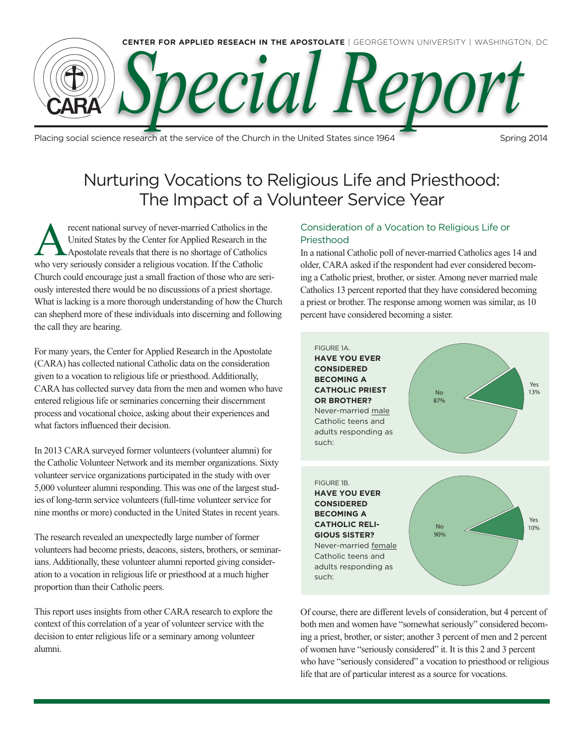

Placing social science research at the service of the Church in the United States since 1964 Spring 2014

# Nurturing Vocations to Religious Life and Priesthood: The Impact of a Volunteer Service Year

Frecent national survey of never-married Catholics in the United States by the Center for Applied Research in the Apostolate reveals that there is no shortage of Catholics United States by the Center for Applied Research in the who very seriously consider a religious vocation. If the Catholic Church could encourage just a small fraction of those who are seriously interested there would be no discussions of a priest shortage. What is lacking is a more thorough understanding of how the Church can shepherd more of these individuals into discerning and following the call they are hearing.

For many years, the Center for Applied Research in the Apostolate (CARA) has collected national Catholic data on the consideration given to a vocation to religious life or priesthood. Additionally, CARA has collected survey data from the men and women who have entered religious life or seminaries concerning their discernment process and vocational choice, asking about their experiences and what factors influenced their decision.

In 2013 CARA surveyed former volunteers (volunteer alumni) for the Catholic Volunteer Network and its member organizations. Sixty volunteer service organizations participated in the study with over 5,000 volunteer alumni responding. This was one of the largest studies of long-term service volunteers (full-time volunteer service for nine months or more) conducted in the United States in recent years.

The research revealed an unexpectedly large number of former volunteers had become priests, deacons, sisters, brothers, or seminarians. Additionally, these volunteer alumni reported giving consideration to a vocation in religious life or priesthood at a much higher proportion than their Catholic peers.

This report uses insights from other CARA research to explore the context of this correlation of a year of volunteer service with the decision to enter religious life or a seminary among volunteer alumni.

# Consideration of a Vocation to Religious Life or Priesthood

In a national Catholic poll of never-married Catholics ages 14 and older, CARA asked if the respondent had ever considered becoming a Catholic priest, brother, or sister. Among never married male Catholics 13 percent reported that they have considered becoming a priest or brother. The response among women was similar, as 10 percent have considered becoming a sister.



Of course, there are different levels of consideration, but 4 percent of both men and women have "somewhat seriously" considered becoming a priest, brother, or sister; another 3 percent of men and 2 percent of women have "seriously considered" it. It is this 2 and 3 percent who have "seriously considered" a vocation to priesthood or religious life that are of particular interest as a source for vocations.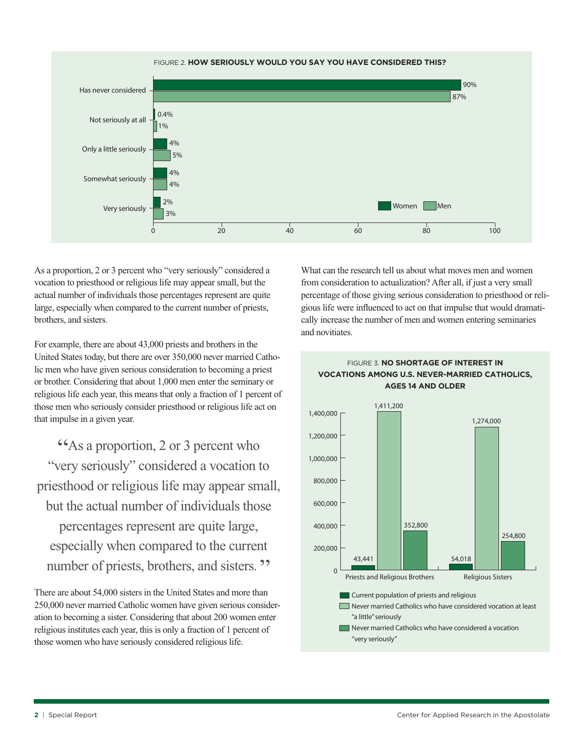

As a proportion, 2 or 3 percent who "very seriously" considered a vocation to priesthood or religious life may appear small, but the actual number of individuals those percentages represent are quite large, especially when compared to the current number of priests, brothers, and sisters.

For example, there are about 43,000 priests and brothers in the United States today, but there are over 350,000 never married Catholic men who have given serious consideration to becoming a priest or brother. Considering that about 1,000 men enter the seminary or religious life each year, this means that only a fraction of 1 percent of those men who seriously consider priesthood or religious life act on that impulse in a given year.

"As a proportion, 2 or 3 percent who "very seriously" considered a vocation to priesthood or religious life may appear small, but the actual number of individuals those percentages represent are quite large, especially when compared to the current number of priests, brothers, and sisters. "

There are about 54,000 sisters in the United States and more than 250,000 never married Catholic women have given serious consideration to becoming a sister. Considering that about 200 women enter religious institutes each year, this is only a fraction of 1 percent of those women who have seriously considered religious life.

What can the research tell us about what moves men and women from consideration to actualization? After all, if just a very small percentage of those giving serious consideration to priesthood or religious life were influenced to act on that impulse that would dramatically increase the number of men and women entering seminaries and novitiates.



## Figure 3. **No Shortage of Interest in Vocations among U.S. Never-married Catholics, Ages 14 and Older**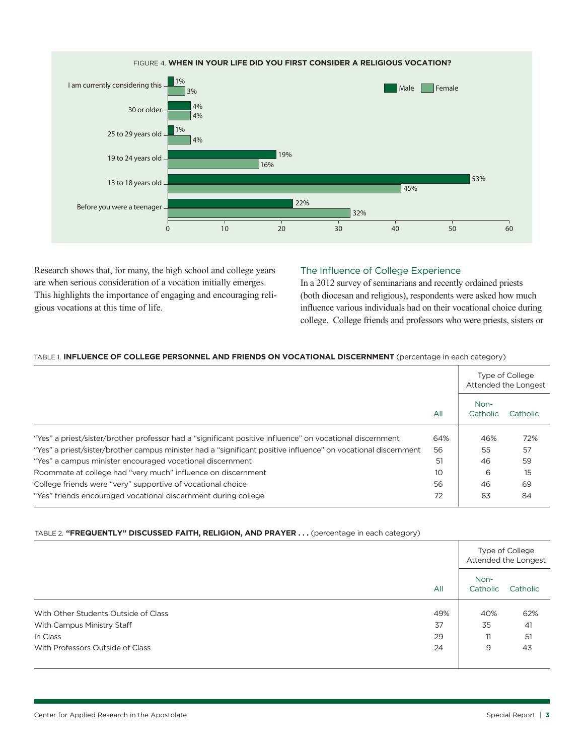

Research shows that, for many, the high school and college years are when serious consideration of a vocation initially emerges. This highlights the importance of engaging and encouraging religious vocations at this time of life.

# The Influence of College Experience

In a 2012 survey of seminarians and recently ordained priests (both diocesan and religious), respondents were asked how much influence various individuals had on their vocational choice during college. College friends and professors who were priests, sisters or

## Table 1. **Influence of College Personnel and Friends on Vocational Discernment** (percentage in each category)

|                                                                                                                |     | Type of College<br>Attended the Longest |          |
|----------------------------------------------------------------------------------------------------------------|-----|-----------------------------------------|----------|
|                                                                                                                | All | Non-<br>Catholic                        | Catholic |
| "Yes" a priest/sister/brother professor had a "significant positive influence" on vocational discernment       | 64% | 46%                                     | 72%      |
| "Yes" a priest/sister/brother campus minister had a "significant positive influence" on vocational discernment | 56  | 55                                      | 57       |
| "Yes" a campus minister encouraged vocational discernment                                                      | 51  | 46                                      | 59       |
| Roommate at college had "very much" influence on discernment                                                   | 10  | 6                                       | 15       |
| College friends were "very" supportive of vocational choice                                                    | 56  | 46                                      | 69       |
| "Yes" friends encouraged vocational discernment during college                                                 | 72  | 63                                      | 84       |

### Table 2. **"Frequently" Discussed Faith, Religion, and Prayer . . .** (percentage in each category)

|                                      |     | Type of College<br>Attended the Longest |          |
|--------------------------------------|-----|-----------------------------------------|----------|
|                                      | All | Non-<br>Catholic                        | Catholic |
| With Other Students Outside of Class | 49% | 40%                                     | 62%      |
| With Campus Ministry Staff           | 37  | 35                                      | 41       |
| In Class                             | 29  | 11                                      | 51       |
| With Professors Outside of Class     | 24  | 9                                       | 43       |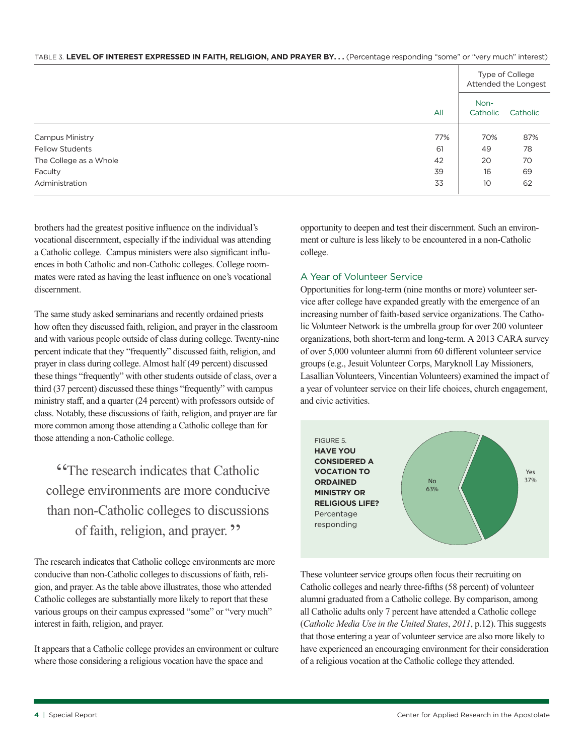| TABLE 3. LEVEL OF INTEREST EXPRESSED IN FAITH, RELIGION, AND PRAYER BY (Percentage responding "some" or "very much" interest) |  |  |
|-------------------------------------------------------------------------------------------------------------------------------|--|--|
|-------------------------------------------------------------------------------------------------------------------------------|--|--|

|                        |     | Type of College<br>Attended the Longest |          |
|------------------------|-----|-----------------------------------------|----------|
|                        | All | Non-<br>Catholic                        | Catholic |
| <b>Campus Ministry</b> | 77% | 70%                                     | 87%      |
| <b>Fellow Students</b> | 61  | 49                                      | 78       |
| The College as a Whole | 42  | 20                                      | 70       |
| Faculty                | 39  | 16                                      | 69       |
| Administration         | 33  | 10                                      | 62       |

brothers had the greatest positive influence on the individual's vocational discernment, especially if the individual was attending a Catholic college. Campus ministers were also significant influences in both Catholic and non-Catholic colleges. College roommates were rated as having the least influence on one's vocational discernment.

The same study asked seminarians and recently ordained priests how often they discussed faith, religion, and prayer in the classroom and with various people outside of class during college. Twenty-nine percent indicate that they "frequently" discussed faith, religion, and prayer in class during college. Almost half (49 percent) discussed these things "frequently" with other students outside of class, over a third (37 percent) discussed these things "frequently" with campus ministry staff, and a quarter (24 percent) with professors outside of class. Notably, these discussions of faith, religion, and prayer are far more common among those attending a Catholic college than for those attending a non-Catholic college.

"The research indicates that Catholic college environments are more conducive than non-Catholic colleges to discussions of faith, religion, and prayer. "

The research indicates that Catholic college environments are more conducive than non-Catholic colleges to discussions of faith, religion, and prayer. As the table above illustrates, those who attended Catholic colleges are substantially more likely to report that these various groups on their campus expressed "some" or "very much" interest in faith, religion, and prayer.

It appears that a Catholic college provides an environment or culture where those considering a religious vocation have the space and

opportunity to deepen and test their discernment. Such an environment or culture is less likely to be encountered in a non-Catholic college.

# A Year of Volunteer Service

Opportunities for long-term (nine months or more) volunteer service after college have expanded greatly with the emergence of an increasing number of faith-based service organizations. The Catholic Volunteer Network is the umbrella group for over 200 volunteer organizations, both short-term and long-term. A 2013 CARA survey of over 5,000 volunteer alumni from 60 different volunteer service groups (e.g., Jesuit Volunteer Corps, Maryknoll Lay Missioners, Lasallian Volunteers, Vincentian Volunteers) examined the impact of a year of volunteer service on their life choices, church engagement, and civic activities.



These volunteer service groups often focus their recruiting on Catholic colleges and nearly three-fifths (58 percent) of volunteer alumni graduated from a Catholic college. By comparison, among all Catholic adults only 7 percent have attended a Catholic college (*Catholic Media Use in the United States*, *2011*, p.12). This suggests that those entering a year of volunteer service are also more likely to have experienced an encouraging environment for their consideration of a religious vocation at the Catholic college they attended.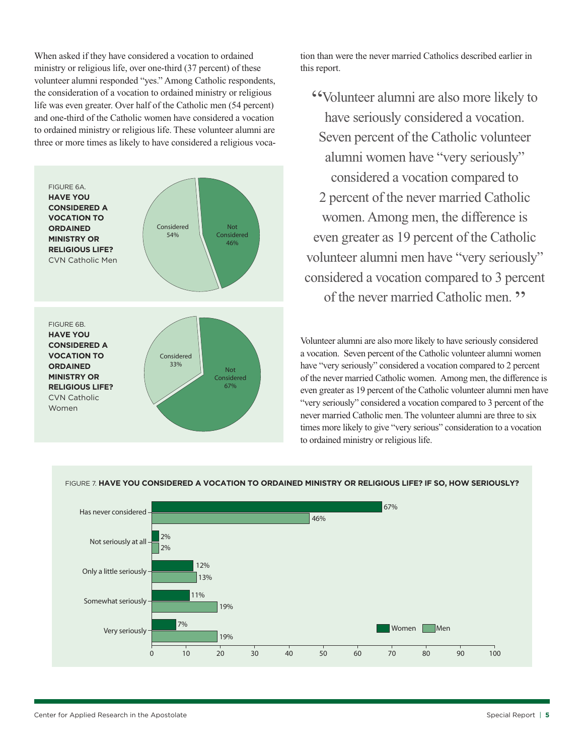When asked if they have considered a vocation to ordained ministry or religious life, over one-third (37 percent) of these volunteer alumni responded "yes." Among Catholic respondents, the consideration of a vocation to ordained ministry or religious life was even greater. Over half of the Catholic men (54 percent) and one-third of the Catholic women have considered a vocation to ordained ministry or religious life. These volunteer alumni are three or more times as likely to have considered a religious voca-



tion than were the never married Catholics described earlier in this report.

"Volunteer alumni are also more likely to have seriously considered a vocation. Seven percent of the Catholic volunteer alumni women have "very seriously" considered a vocation compared to 2 percent of the never married Catholic women. Among men, the difference is even greater as 19 percent of the Catholic volunteer alumni men have "very seriously" considered a vocation compared to 3 percent of the never married Catholic men. "

Volunteer alumni are also more likely to have seriously considered a vocation. Seven percent of the Catholic volunteer alumni women have "very seriously" considered a vocation compared to 2 percent of the never married Catholic women. Among men, the difference is even greater as 19 percent of the Catholic volunteer alumni men have "very seriously" considered a vocation compared to 3 percent of the never married Catholic men. The volunteer alumni are three to six times more likely to give "very serious" consideration to a vocation to ordained ministry or religious life.



### Figure 7. **Have You Considered a Vocation to Ordained Ministry or Religious Life? If so, how seriously?**